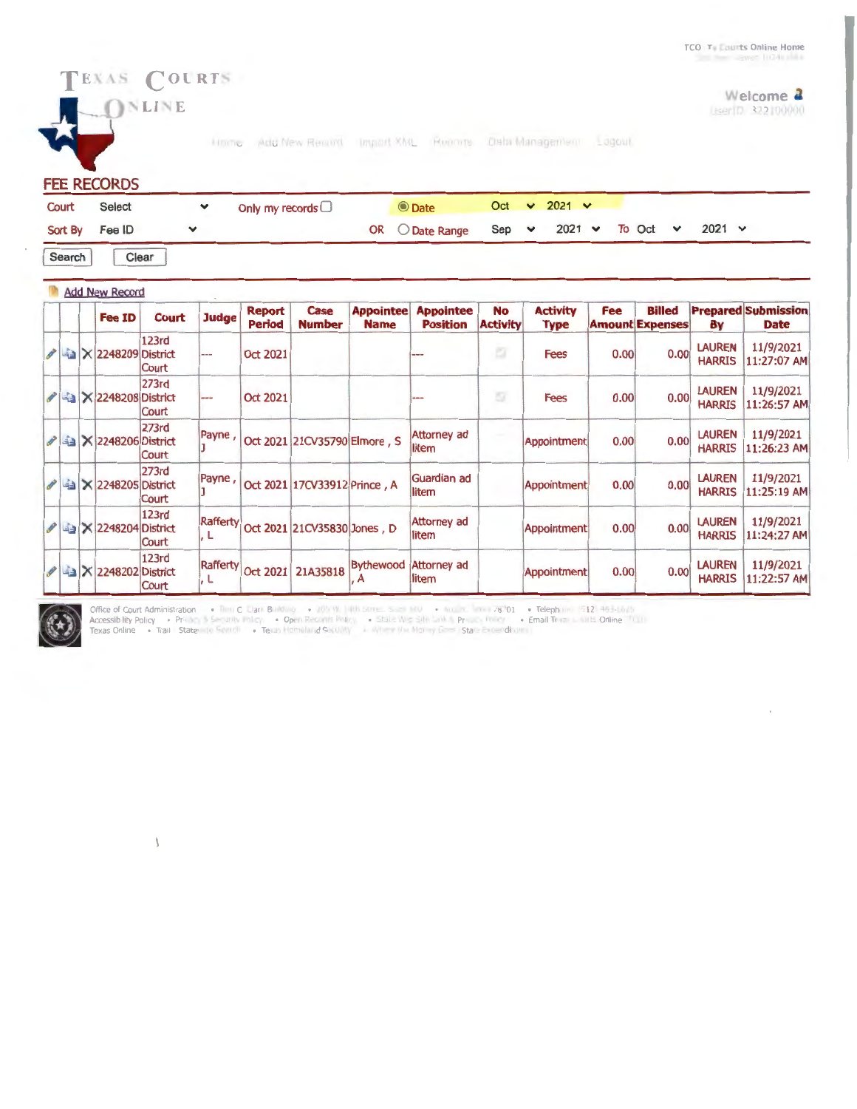## Welcome **4** LiserTD 322 00000

Home Add New Remort Import XML Roomte. Data Management Lagout

**FEE RECORDS** 

TEXAS COURTS **ONLINE** 

| Court          | Select | Only my records $\Box$ | <b>O</b> Date                                          |  | Oct $\vee$ 2021 $\vee$ |  |               |  |
|----------------|--------|------------------------|--------------------------------------------------------|--|------------------------|--|---------------|--|
| Sort By Fee ID |        |                        | OR $O$ Date Range Sep $\vee$ 2021 $\vee$ To Oct $\vee$ |  |                        |  | $2021 \times$ |  |

Search | Clear

|  | <b>Add New Record</b>                     |                |                  |                                |                              |                                 |                                     |                              |                         |            |                                         |                                |                                           |
|--|-------------------------------------------|----------------|------------------|--------------------------------|------------------------------|---------------------------------|-------------------------------------|------------------------------|-------------------------|------------|-----------------------------------------|--------------------------------|-------------------------------------------|
|  | <b>Fee ID</b>                             | Court          | <b>Judge</b>     | <b>Report</b><br><b>Period</b> | Case<br><b>Number</b>        | <b>Appointee</b><br><b>Name</b> | <b>Appointee</b><br><b>Position</b> | <b>No</b><br><b>Activity</b> | <b>Activity</b><br>Type | <b>Fee</b> | <b>Billed</b><br><b>Amount Expenses</b> | Bγ                             | <b>Prepared Submission</b><br><b>Date</b> |
|  | $\mathscr{P}$ 4 $\times$ 2248209 District | 123rd<br>Court | $- - -$          | <b>Oct 2021</b>                |                              |                                 | ---                                 | a                            | <b>Fees</b>             | 0.00       | 0.00                                    | <b>LAUREN</b><br><b>HARRIS</b> | 11/9/2021<br>11:27:07 AM                  |
|  | ♪ 43 × 2248208 District                   | 273rd<br>Court | ---              | <b>Oct 2021</b>                |                              |                                 | $m = -$                             | o                            | <b>Fees</b>             | 0.00       | 0.00                                    | <b>LAUREN</b><br><b>HARRIS</b> | 11/9/2021<br>11:26:57 AM                  |
|  | ✔ 4 × 2248206 District                    | 273rd<br>Court | Payne,           |                                | Oct 2021 21CV35790 Elmore, S |                                 | <b>Attorney ad</b><br>litem         |                              | Appointment             | 0.00       | 0.00                                    | <b>LAUREN</b><br><b>HARRIS</b> | 11/9/2021<br>11:26:23 AM                  |
|  | <b>⁄ a × 2248205 District</b>             | 273rd<br>Court | Payne,           |                                | Oct 2021 17CV33912 Prince, A |                                 | Guardian ad<br>litem                |                              | Appointment             | 0.00       | 0.00                                    | <b>LAUREN</b><br><b>HARRIS</b> | 11/9/2021<br>11:25:19 AM                  |
|  | A 4 X 2248204 District                    | 123rd<br>Court | Rafferty<br>l. L |                                | Oct 2021 21CV35830 Jones, D  |                                 | <b>Attorney ad</b><br>litem         |                              | Appointment             | 0.00       | 0.00                                    | <b>LAUREN</b><br><b>HARRIS</b> | 11/9/2021<br>11:24:27 AM                  |
|  | A 3 X 2248202 District                    | 123rd<br>Court | Rafferty<br>L    | <b>Oct 2021</b>                | 21A35818                     | Bythewood<br>A                  | Attorney ad<br>litem                |                              | <b>Appointment</b>      | 0.00       | 0.00                                    | <b>LAUREN</b><br><b>HARRIS</b> | 11/9/2021<br>11:22:57 AM                  |



 $\lambda$ 

elephone 512 495<br>ail Texa<mark>r - 10</mark> B. Onli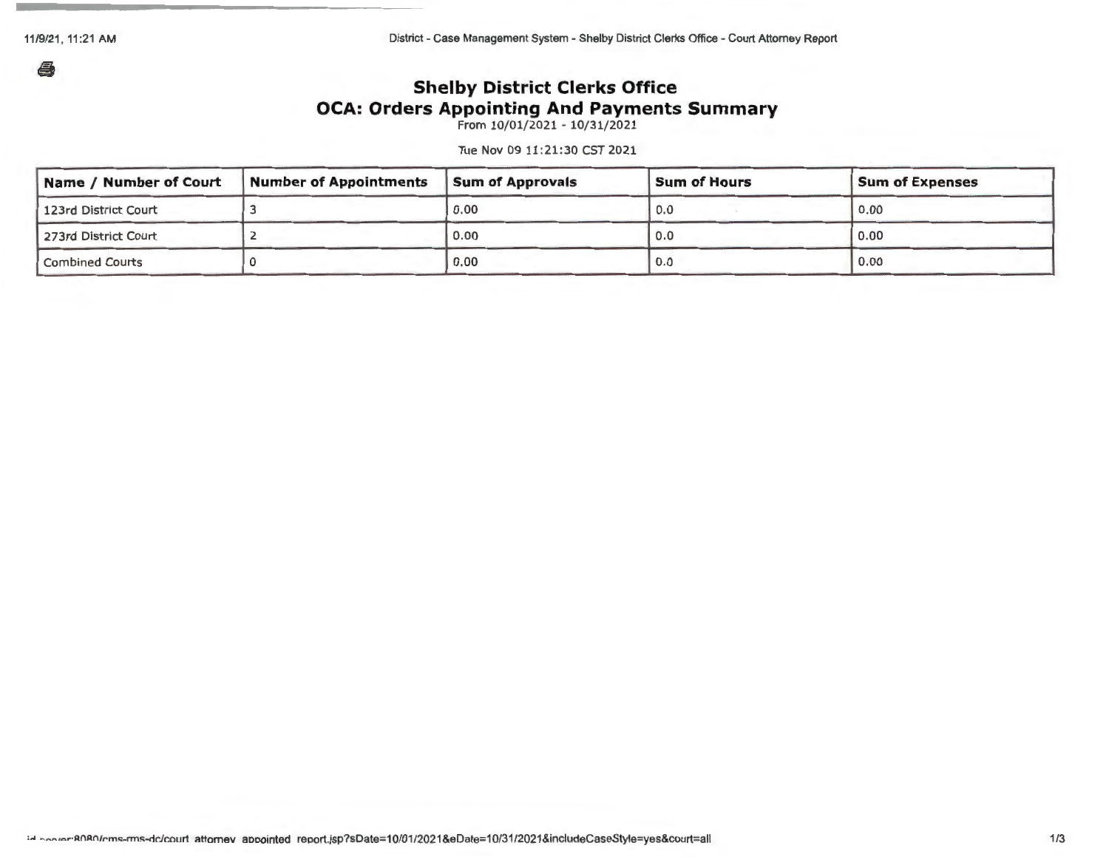11/9/21, 11:21 AM

a

District - Case Management System - Shelby District Clerks Office - Court Attorney Report

## **Shelby District Clerks Office OCA: Orders Appointing And Payments Summary**

From 10/01/2021 - 10/31/2021

Tue Nov 09 11:21:30 CST 2021

| Name / Number of Court | <b>Number of Appointments</b> | <b>Sum of Approvals</b> | <b>Sum of Hours</b> | <b>Sum of Expenses</b> |
|------------------------|-------------------------------|-------------------------|---------------------|------------------------|
| 123rd District Court   |                               | 0.00                    | 0.0                 | 0.00                   |
| 273rd District Court   |                               | 0.00                    | 0.0                 | 0.00                   |
| <b>Combined Courts</b> |                               | 0.00                    | 0.0                 | 0.00                   |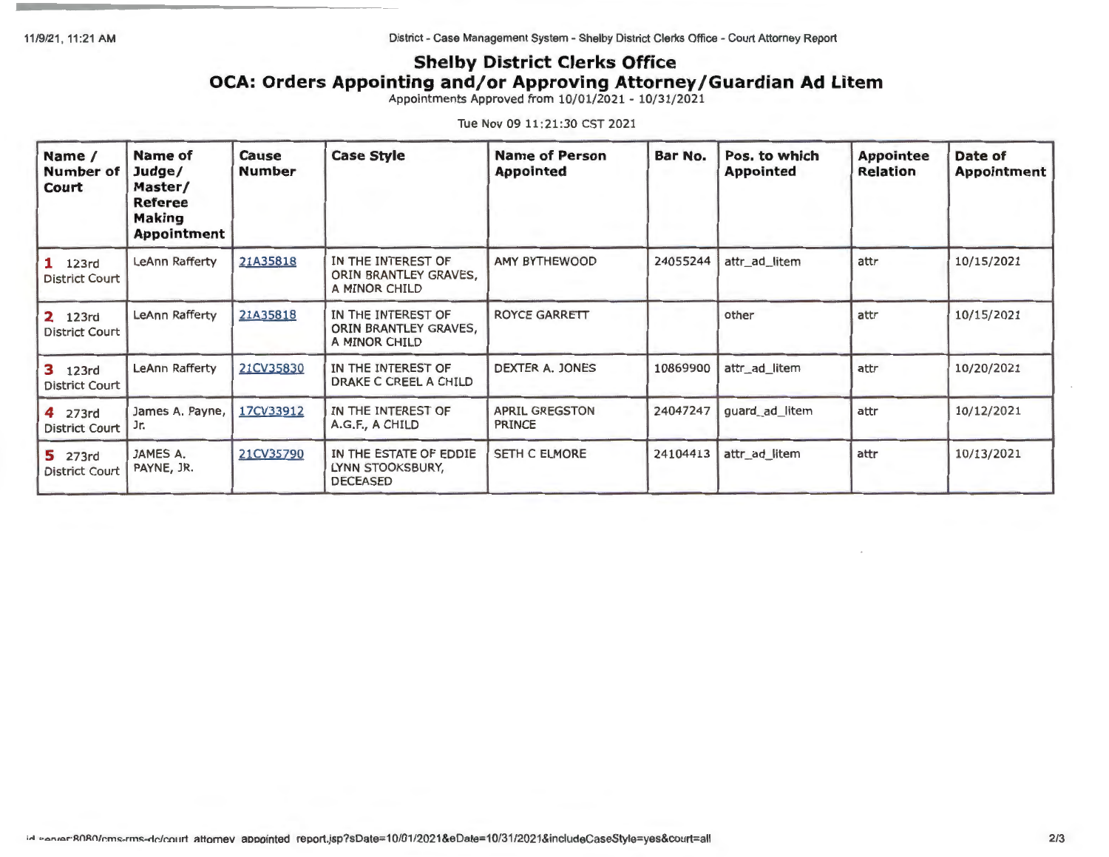11/9/21 , 11:21 AM

District - Case Management System - Shelby District Clerks Office - Court Attorney Report

## **Shelby District Clerks Office OCA: Orders Appointing and/or Approving Attorney/Guardian Ad Litem**

Appointments Approved from 10/01/2021 - 10/31/2021

Tue Nov 09 11:21:30 CST 2021

| Name /<br><b>Number of</b><br>Court     | Name of<br>Judge/<br>Master/<br>Referee<br><b>Making</b><br><b>Appointment</b>                       | <b>Case Style</b><br>Cause<br><b>Number</b> |                                                              | <b>Name of Person</b><br><b>Appointed</b> | Bar No.       | Pos. to which<br><b>Appointed</b> | <b>Appointee</b><br><b>Relation</b> | Date of<br>Appointment |  |
|-----------------------------------------|------------------------------------------------------------------------------------------------------|---------------------------------------------|--------------------------------------------------------------|-------------------------------------------|---------------|-----------------------------------|-------------------------------------|------------------------|--|
| $1$ 123rd<br><b>District Court</b>      | LeAnn Rafferty                                                                                       | 21A35818                                    | IN THE INTEREST OF<br>ORIN BRANTLEY GRAVES,<br>A MINOR CHILD | <b>AMY BYTHEWOOD</b>                      | 24055244      | attr_ad_litem                     | attr                                | 10/15/2021             |  |
| 2 123rd<br><b>District Court</b>        | IN THE INTEREST OF<br>LeAnn Rafferty<br>21A35818<br>A MINOR CHILD                                    |                                             | ORIN BRANTLEY GRAVES,                                        | <b>ROYCE GARRETT</b>                      |               | other                             | attr                                | 10/15/2021             |  |
| <b>3</b> 123rd<br><b>District Court</b> | LeAnn Rafferty                                                                                       | 21CV35830                                   | IN THE INTEREST OF<br>DRAKE C CREEL A CHILD                  | DEXTER A. JONES                           | 10869900      | attr_ad_litem                     | attr                                | 10/20/2021             |  |
| 4 273rd<br><b>District Court</b>        | James A. Payne,<br>Jr.                                                                               | 17CV33912                                   | IN THE INTEREST OF<br>A.G.F., A CHILD                        | <b>APRIL GREGSTON</b><br><b>PRINCE</b>    | 24047247      | guard_ad_litem                    | attr                                | 10/12/2021             |  |
| 5 273rd<br><b>District Court</b>        | IN THE ESTATE OF EDDIE<br>21CV35790<br>JAMES A.<br>LYNN STOOKSBURY,<br>PAYNE, JR.<br><b>DECEASED</b> |                                             | SETH C ELMORE                                                | 24104413                                  | attr_ad_litem | attr                              | 10/13/2021                          |                        |  |